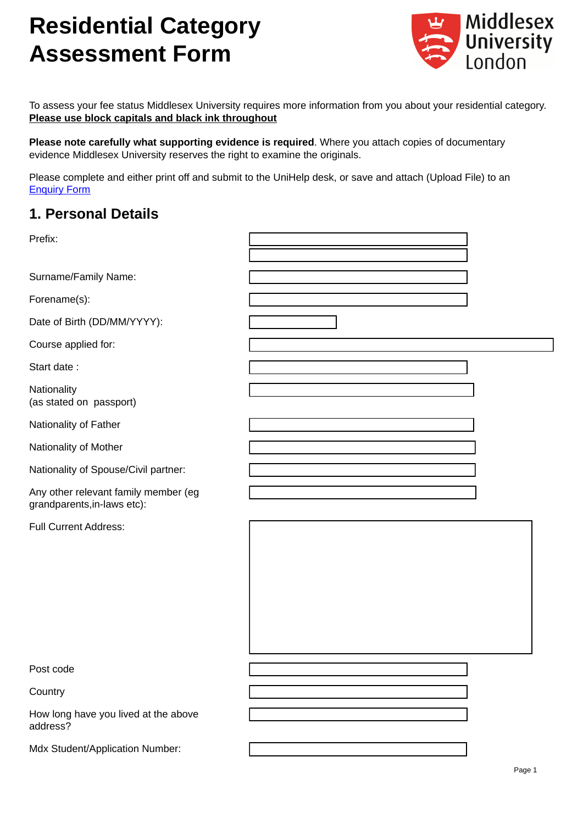# **Residential Category Assessment Form**



To assess your fee status Middlesex University requires more information from you about your residential category. **Please use block capitals and black ink throughout** 

**Please note carefully what supporting evidence is required**. Where you attach copies of documentary evidence Middlesex University reserves the right to examine the originals.

Please complete and either print off and submit to the UniHelp desk, or save and attach (Upload File) to an [Enquiry Form](http://wgfp-prrw02.mdx.ac.uk:8001/ticket/portalticketcreation.aspx)

# **1. Personal Details**

| Prefix:                                                             |  |
|---------------------------------------------------------------------|--|
| Surname/Family Name:                                                |  |
| Forename(s):                                                        |  |
| Date of Birth (DD/MM/YYYY):                                         |  |
| Course applied for:                                                 |  |
| Start date:                                                         |  |
| Nationality<br>(as stated on passport)                              |  |
| Nationality of Father                                               |  |
| Nationality of Mother                                               |  |
| Nationality of Spouse/Civil partner:                                |  |
| Any other relevant family member (eg<br>grandparents, in-laws etc): |  |
| <b>Full Current Address:</b>                                        |  |
| Post code                                                           |  |
| Country                                                             |  |
| How long have you lived at the above<br>address?                    |  |
| Mdx Student/Application Number:                                     |  |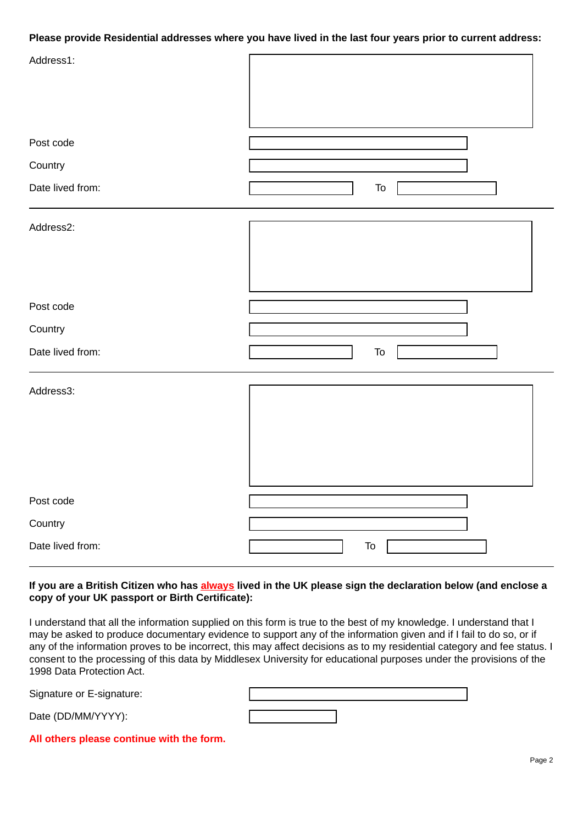# **Please provide Residential addresses where you have lived in the last four years prior to current address:**

| Address1:        |            |
|------------------|------------|
| Post code        |            |
| Country          |            |
| Date lived from: | To         |
| Address2:        |            |
| Post code        |            |
| Country          |            |
| Date lived from: | To         |
| Address3:        |            |
| Post code        |            |
| Country          |            |
| Date lived from: | ${\sf To}$ |

# **If you are a British Citizen who has always lived in the UK please sign the declaration below (and enclose a copy of your UK passport or Birth Certificate):**

I understand that all the information supplied on this form is true to the best of my knowledge. I understand that I may be asked to produce documentary evidence to support any of the information given and if I fail to do so, or if any of the information proves to be incorrect, this may affect decisions as to my residential category and fee status. I consent to the processing of this data by Middlesex University for educational purposes under the provisions of the 1998 Data Protection Act.

Signature or E-signature:

Date (DD/MM/YYYY):

**All others please continue with the form.**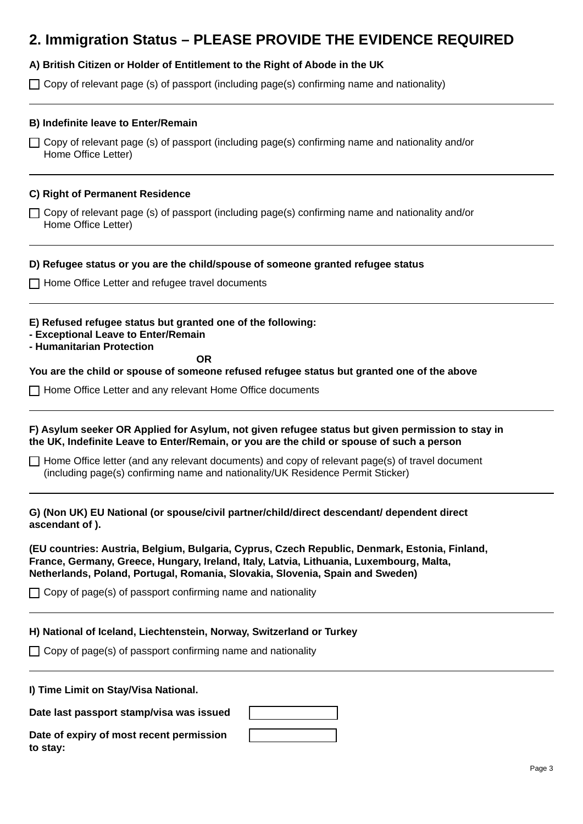# **2. Immigration Status – PLEASE PROVIDE THE EVIDENCE REQUIRED**

# **A) British Citizen or Holder of Entitlement to the Right of Abode in the UK**

 $\Box$  Copy of relevant page (s) of passport (including page(s) confirming name and nationality)

### **B) Indefinite leave to Enter/Remain**

 $\Box$  Copy of relevant page (s) of passport (including page(s) confirming name and nationality and/or Home Office Letter)

### **C) Right of Permanent Residence**

Copy of relevant page (s) of passport (including page(s) confirming name and nationality and/or Home Office Letter)

#### **D) Refugee status or you are the child/spouse of someone granted refugee status**

□ Home Office Letter and refugee travel documents

#### **E) Refused refugee status but granted one of the following:**

- **Exceptional Leave to Enter/Remain**
- **Humanitarian Protection**

*OR* 

**You are the child or spouse of someone refused refugee status but granted one of the above**

Home Office Letter and any relevant Home Office documents

## **F) Asylum seeker OR Applied for Asylum, not given refugee status but given permission to stay in the UK, Indefinite Leave to Enter/Remain, or you are the child or spouse of such a person**

 $\Box$  Home Office letter (and any relevant documents) and copy of relevant page(s) of travel document (including page(s) confirming name and nationality/UK Residence Permit Sticker)

**G) (Non UK) EU National (or spouse/civil partner/child/direct descendant/ dependent direct ascendant of ).** 

**(EU countries: Austria, Belgium, Bulgaria, Cyprus, Czech Republic, Denmark, Estonia, Finland, France, Germany, Greece, Hungary, Ireland, Italy, Latvia, Lithuania, Luxembourg, Malta, Netherlands, Poland, Portugal, Romania, Slovakia, Slovenia, Spain and Sweden)**

 $\Box$  Copy of page(s) of passport confirming name and nationality

#### **H) National of Iceland, Liechtenstein, Norway, Switzerland or Turkey**

 $\Box$  Copy of page(s) of passport confirming name and nationality

#### **I) Time Limit on Stay/Visa National.**

**Date last passport stamp/visa was issued**

**Date of expiry of most recent permission to stay:**

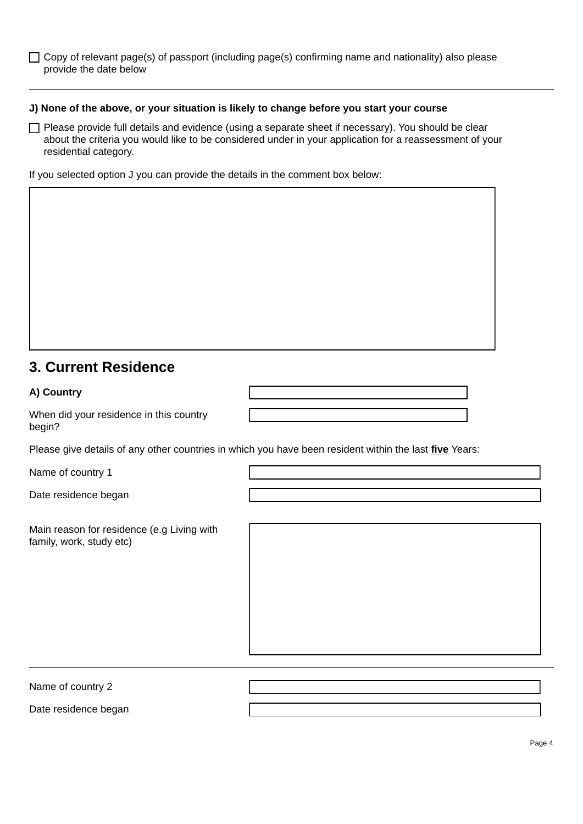$\Box$  Copy of relevant page(s) of passport (including page(s) confirming name and nationality) also please provide the date below

### **J) None of the above, or your situation is likely to change before you start your course**

 $\Box$  Please provide full details and evidence (using a separate sheet if necessary). You should be clear about the criteria you would like to be considered under in your application for a reassessment of your residential category.

If you selected option J you can provide the details in the comment box below:

# **3. Current Residence**

# **A) Country**

When did your residence in this country begin?

Please give details of any other countries in which you have been resident within the last **five** Years:

Name of country 1

Date residence began

Main reason for residence (e.g Living with family, work, study etc)

Name of country 2

Date residence began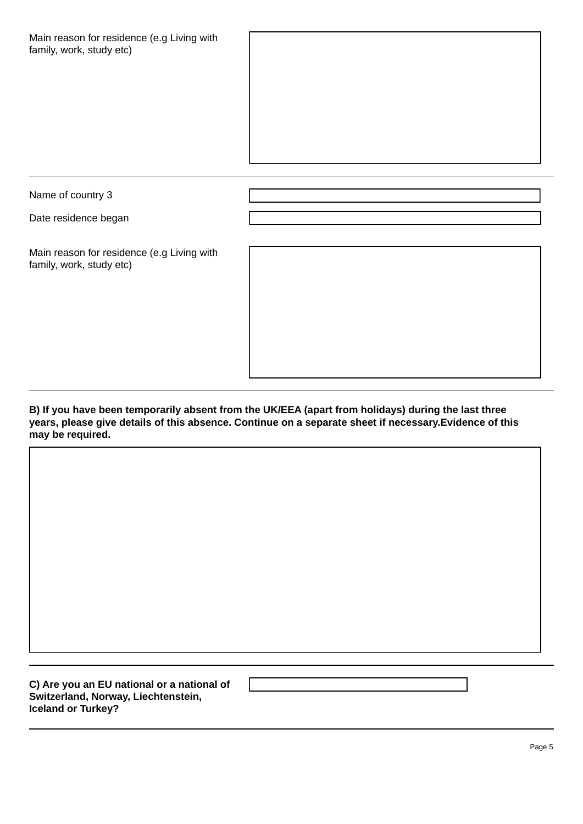| Main reason for residence (e.g Living with |  |
|--------------------------------------------|--|
| family, work, study etc)                   |  |

Name of country 3

Date residence began

Main reason for residence (e.g Living with family, work, study etc)

**B) If you have been temporarily absent from the UK/EEA (apart from holidays) during the last three years, please give details of this absence. Continue on a separate sheet if necessary.Evidence of this may be required.**

**C) Are you an EU national or a national of Switzerland, Norway, Liechtenstein, Iceland or Turkey?**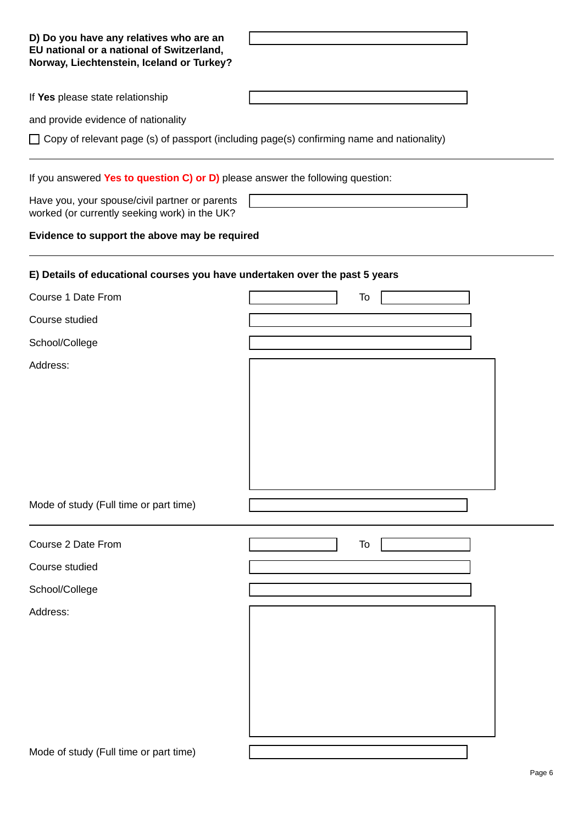| D) Do you have any relatives who are an<br>EU national or a national of Switzerland,<br>Norway, Liechtenstein, Iceland or Turkey? |    |
|-----------------------------------------------------------------------------------------------------------------------------------|----|
| If Yes please state relationship                                                                                                  |    |
| and provide evidence of nationality                                                                                               |    |
| $\Box$ Copy of relevant page (s) of passport (including page(s) confirming name and nationality)                                  |    |
| If you answered Yes to question C) or D) please answer the following question:                                                    |    |
| Have you, your spouse/civil partner or parents<br>worked (or currently seeking work) in the UK?                                   |    |
| Evidence to support the above may be required                                                                                     |    |
| E) Details of educational courses you have undertaken over the past 5 years                                                       |    |
| Course 1 Date From                                                                                                                | To |
| Course studied                                                                                                                    |    |
| School/College                                                                                                                    |    |
| Address:<br>Mode of study (Full time or part time)                                                                                |    |
| Course 2 Date From                                                                                                                | To |
| Course studied                                                                                                                    |    |
|                                                                                                                                   |    |
| School/College                                                                                                                    |    |
| Address:                                                                                                                          |    |
| Mode of study (Full time or part time)                                                                                            |    |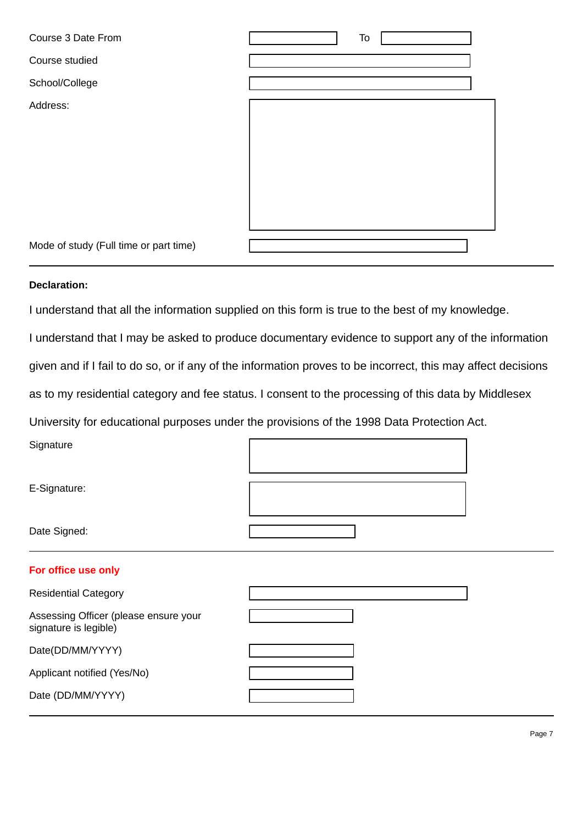| Course 3 Date From                     | To |  |
|----------------------------------------|----|--|
| Course studied                         |    |  |
| School/College                         |    |  |
| Address:                               |    |  |
| Mode of study (Full time or part time) |    |  |

# **Declaration:**

I understand that all the information supplied on this form is true to the best of my knowledge.

I understand that I may be asked to produce documentary evidence to support any of the information

given and if I fail to do so, or if any of the information proves to be incorrect, this may affect decisions

as to my residential category and fee status. I consent to the processing of this data by Middlesex

University for educational purposes under the provisions of the 1998 Data Protection Act.

**Signature** 

E-Signature:

Date Signed:

# **For office use only**

| <b>Residential Category</b>                                    |  |
|----------------------------------------------------------------|--|
| Assessing Officer (please ensure your<br>signature is legible) |  |
| Date(DD/MM/YYYY)                                               |  |
| Applicant notified (Yes/No)                                    |  |
| Date (DD/MM/YYYY)                                              |  |